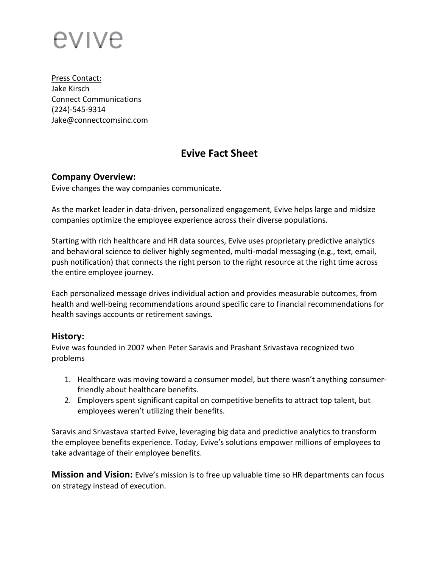# evive

Press Contact: Jake Kirsch Connect Communications (224)-545-9314 Jake@connectcomsinc.com

# **Evive Fact Sheet**

#### **Company Overview:**

Evive changes the way companies communicate.

As the market leader in data-driven, personalized engagement, Evive helps large and midsize companies optimize the employee experience across their diverse populations.

Starting with rich healthcare and HR data sources, Evive uses proprietary predictive analytics and behavioral science to deliver highly segmented, multi-modal messaging (e.g., text, email, push notification) that connects the right person to the right resource at the right time across the entire employee journey.

Each personalized message drives individual action and provides measurable outcomes, from health and well-being recommendations around specific care to financial recommendations for health savings accounts or retirement savings*.* 

#### **History:**

Evive was founded in 2007 when Peter Saravis and Prashant Srivastava recognized two problems

- 1. Healthcare was moving toward a consumer model, but there wasn't anything consumerfriendly about healthcare benefits.
- 2. Employers spent significant capital on competitive benefits to attract top talent, but employees weren't utilizing their benefits.

Saravis and Srivastava started Evive, leveraging big data and predictive analytics to transform the employee benefits experience. Today, Evive's solutions empower millions of employees to take advantage of their employee benefits.

**Mission and Vision:** Evive's mission is to free up valuable time so HR departments can focus on strategy instead of execution.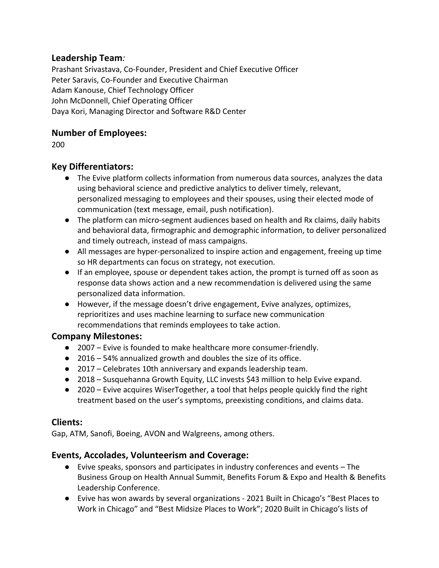## **Leadership Team***:*

Prashant Srivastava, Co-Founder, President and Chief Executive Officer Peter Saravis, Co-Founder and Executive Chairman Adam Kanouse, Chief Technology Officer John McDonnell, Chief Operating Officer Daya Kori, Managing Director and Software R&D Center

## **Number of Employees:**

200

## **Key Differentiators:**

- The Evive platform collects information from numerous data sources, analyzes the data using behavioral science and predictive analytics to deliver timely, relevant, personalized messaging to employees and their spouses, using their elected mode of communication (text message, email, push notification).
- The platform can micro-segment audiences based on health and Rx claims, daily habits and behavioral data, firmographic and demographic information, to deliver personalized and timely outreach, instead of mass campaigns.
- All messages are hyper-personalized to inspire action and engagement, freeing up time so HR departments can focus on strategy, not execution.
- If an employee, spouse or dependent takes action, the prompt is turned off as soon as response data shows action and a new recommendation is delivered using the same personalized data information.
- However, if the message doesn't drive engagement, Evive analyzes, optimizes, reprioritizes and uses machine learning to surface new communication recommendations that reminds employees to take action.

#### **Company Milestones:**

- 2007 Evive is founded to make healthcare more consumer-friendly.
- 2016 54% annualized growth and doubles the size of its office.
- 2017 Celebrates 10th anniversary and expands leadership team.
- 2018 Susquehanna Growth Equity, LLC invests \$43 million to help Evive expand.
- 2020 Evive acquires WiserTogether, a tool that helps people quickly find the right treatment based on the user's symptoms, preexisting conditions, and claims data.

#### **Clients:**

Gap, ATM, Sanofi, Boeing, AVON and Walgreens, among others.

# **Events, Accolades, Volunteerism and Coverage:**

- Evive speaks, sponsors and participates in industry conferences and events The Business Group on Health Annual Summit, Benefits Forum & Expo and Health & Benefits Leadership Conference.
- Evive has won awards by several organizations 2021 Built in Chicago's "Best Places to Work in Chicago" and "Best Midsize Places to Work"; 2020 Built in Chicago's lists of